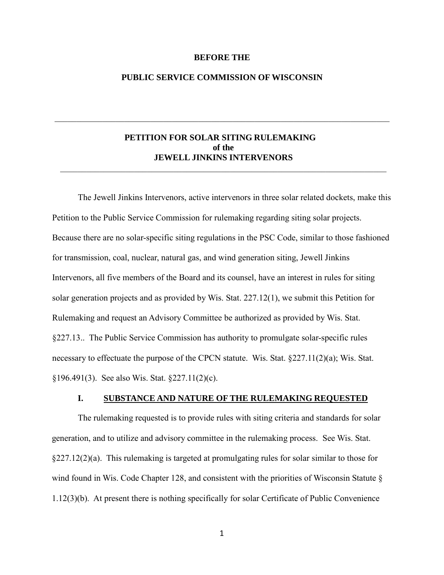### **BEFORE THE**

## **PUBLIC SERVICE COMMISSION OF WISCONSIN**

\_\_\_\_\_\_\_\_\_\_\_\_\_\_\_\_\_\_\_\_\_\_\_\_\_\_\_\_\_\_\_\_\_\_\_\_\_\_\_\_\_\_\_\_\_\_\_\_\_\_\_\_\_\_\_\_\_\_\_\_\_\_\_\_\_\_\_\_\_\_\_\_\_\_\_\_\_

# **PETITION FOR SOLAR SITING RULEMAKING of the JEWELL JINKINS INTERVENORS**

\_\_\_\_\_\_\_\_\_\_\_\_\_\_\_\_\_\_\_\_\_\_\_\_\_\_\_\_\_\_\_\_\_\_\_\_\_\_\_\_\_\_\_\_\_\_\_\_\_\_\_\_\_\_\_\_\_\_\_\_\_\_\_\_\_\_\_\_\_\_\_\_\_\_\_

The Jewell Jinkins Intervenors, active intervenors in three solar related dockets, make this Petition to the Public Service Commission for rulemaking regarding siting solar projects. Because there are no solar-specific siting regulations in the PSC Code, similar to those fashioned for transmission, coal, nuclear, natural gas, and wind generation siting, Jewell Jinkins Intervenors, all five members of the Board and its counsel, have an interest in rules for siting solar generation projects and as provided by Wis. Stat. 227.12(1), we submit this Petition for Rulemaking and request an Advisory Committee be authorized as provided by Wis. Stat. §227.13.. The Public Service Commission has authority to promulgate solar-specific rules necessary to effectuate the purpose of the CPCN statute. Wis. Stat. §227.11(2)(a); Wis. Stat. §196.491(3). See also Wis. Stat. §227.11(2)(c).

### **I. SUBSTANCE AND NATURE OF THE RULEMAKING REQUESTED**

The rulemaking requested is to provide rules with siting criteria and standards for solar generation, and to utilize and advisory committee in the rulemaking process. See Wis. Stat.  $\S227.12(2)(a)$ . This rulemaking is targeted at promulgating rules for solar similar to those for wind found in Wis. Code Chapter 128, and consistent with the priorities of Wisconsin Statute § [1.12\(3\)\(b\).](http://docs.legis.wisconsin.gov/statutes/statutes/1/12/3/b) At present there is nothing specifically for solar Certificate of Public Convenience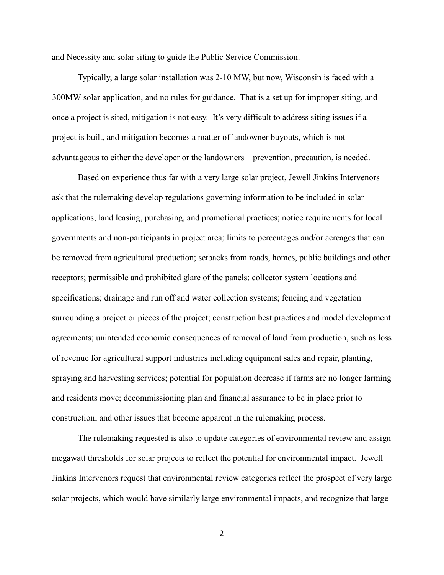and Necessity and solar siting to guide the Public Service Commission.

Typically, a large solar installation was 2-10 MW, but now, Wisconsin is faced with a 300MW solar application, and no rules for guidance. That is a set up for improper siting, and once a project is sited, mitigation is not easy. It's very difficult to address siting issues if a project is built, and mitigation becomes a matter of landowner buyouts, which is not advantageous to either the developer or the landowners – prevention, precaution, is needed.

Based on experience thus far with a very large solar project, Jewell Jinkins Intervenors ask that the rulemaking develop regulations governing information to be included in solar applications; land leasing, purchasing, and promotional practices; notice requirements for local governments and non-participants in project area; limits to percentages and/or acreages that can be removed from agricultural production; setbacks from roads, homes, public buildings and other receptors; permissible and prohibited glare of the panels; collector system locations and specifications; drainage and run off and water collection systems; fencing and vegetation surrounding a project or pieces of the project; construction best practices and model development agreements; unintended economic consequences of removal of land from production, such as loss of revenue for agricultural support industries including equipment sales and repair, planting, spraying and harvesting services; potential for population decrease if farms are no longer farming and residents move; decommissioning plan and financial assurance to be in place prior to construction; and other issues that become apparent in the rulemaking process.

The rulemaking requested is also to update categories of environmental review and assign megawatt thresholds for solar projects to reflect the potential for environmental impact. Jewell Jinkins Intervenors request that environmental review categories reflect the prospect of very large solar projects, which would have similarly large environmental impacts, and recognize that large

2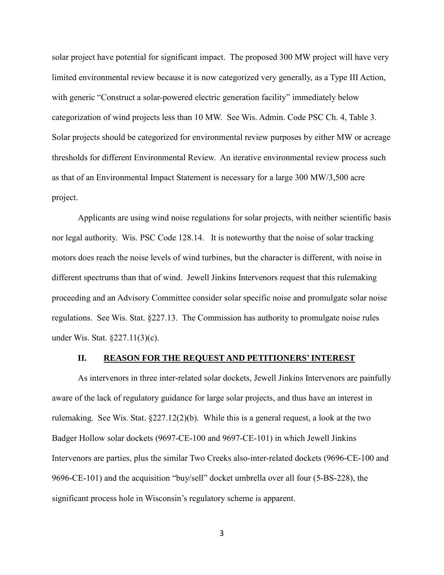solar project have potential for significant impact. The proposed 300 MW project will have very limited environmental review because it is now categorized very generally, as a Type III Action, with generic "Construct a solar-powered electric generation facility" immediately below categorization of wind projects less than 10 MW. See Wis. Admin. Code PSC Ch. 4, Table 3. Solar projects should be categorized for environmental review purposes by either MW or acreage thresholds for different Environmental Review. An iterative environmental review process such as that of an Environmental Impact Statement is necessary for a large 300 MW/3,500 acre project.

Applicants are using wind noise regulations for solar projects, with neither scientific basis nor legal authority. Wis. PSC Code 128.14. It is noteworthy that the noise of solar tracking motors does reach the noise levels of wind turbines, but the character is different, with noise in different spectrums than that of wind. Jewell Jinkins Intervenors request that this rulemaking proceeding and an Advisory Committee consider solar specific noise and promulgate solar noise regulations. See Wis. Stat. §227.13. The Commission has authority to promulgate noise rules under Wis. Stat. §227.11(3)(c).

### **II. REASON FOR THE REQUEST AND PETITIONERS'INTEREST**

As intervenors in three inter-related solar dockets, Jewell Jinkins Intervenors are painfully aware of the lack of regulatory guidance for large solar projects, and thus have an interest in rulemaking. See Wis. Stat. §227.12(2)(b). While this is a general request, a look at the two Badger Hollow solar dockets (9697-CE-100 and 9697-CE-101) in which Jewell Jinkins Intervenors are parties, plus the similar Two Creeks also-inter-related dockets (9696-CE-100 and 9696-CE-101) and the acquisition "buy/sell" docket umbrella over all four (5-BS-228), the significant process hole in Wisconsin's regulatory scheme is apparent.

3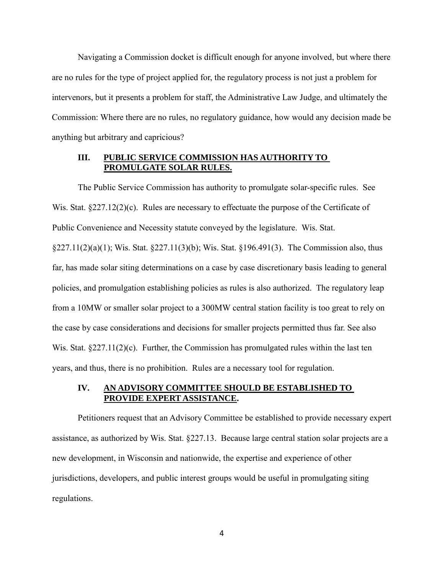Navigating a Commission docket is difficult enough for anyone involved, but where there are no rules for the type of project applied for, the regulatory process is not just a problem for intervenors, but it presents a problem for staff, the Administrative Law Judge, and ultimately the Commission: Where there are no rules, no regulatory guidance, how would any decision made be anything but arbitrary and capricious?

## **III. PUBLIC SERVICE COMMISSION HAS AUTHORITY TO PROMULGATE SOLAR RULES.**

The Public Service Commission has authority to promulgate solar-specific rules. See Wis. Stat. §227.12(2)(c). Rules are necessary to effectuate the purpose of the Certificate of Public Convenience and Necessity statute conveyed by the legislature. Wis. Stat. §227.11(2)(a)(1); Wis. Stat. §227.11(3)(b); Wis. Stat. §196.491(3). The Commission also, thus far, has made solar siting determinations on a case by case discretionary basis leading to general policies, and promulgation establishing policies as rules is also authorized. The regulatory leap from a 10MW or smaller solar project to a 300MW central station facility is too great to rely on the case by case considerations and decisions for smaller projects permitted thus far. See also Wis. Stat.  $\S 227.11(2)(c)$ . Further, the Commission has promulgated rules within the last ten years, and thus, there is no prohibition. Rules are a necessary tool for regulation.

# **IV. AN ADVISORY COMMITTEE SHOULD BE ESTABLISHED TO PROVIDE EXPERT ASSISTANCE.**

Petitioners request that an Advisory Committee be established to provide necessary expert assistance, as authorized by Wis. Stat. §227.13. Because large central station solar projects are a new development, in Wisconsin and nationwide, the expertise and experience of other jurisdictions, developers, and public interest groups would be useful in promulgating siting regulations.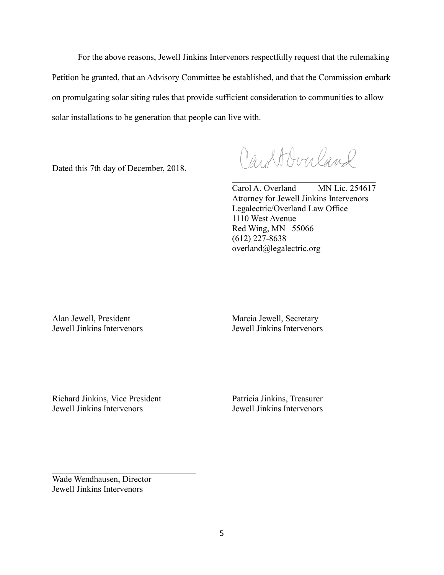For the above reasons, Jewell Jinkins Intervenors respectfully request that the rulemaking Petition be granted, that an Advisory Committee be established, and that the Commission embark on promulgating solar siting rules that provide sufficient consideration to communities to allow solar installations to be generation that people can live with.

 $\_$ 

Dated this 7th day of December, 2018.

Cartbucland

 $\mathcal{L}$  , and the set of the set of the set of the set of the set of the set of the set of the set of the set of the set of the set of the set of the set of the set of the set of the set of the set of the set of the set Carol A. Overland MN Lic. 254617 Attorney for Jewell Jinkins Intervenors Legalectric/Overland Law Office 1110 West Avenue Red Wing, MN 55066 (612) 227-8638 overland@legalectric.org

Alan Jewell, President Marcia Jewell, Secretary

Jewell Jinkins Intervenors Jewell Jinkins Intervenors

 $\_$ Richard Jinkins, Vice President Patricia Jinkins, Treasurer Jewell Jinkins Intervenors Jewell Jinkins Intervenors

Wade Wendhausen, Director Jewell Jinkins Intervenors

 $\mathcal{L}_\mathcal{L}$  , where  $\mathcal{L}_\mathcal{L}$  , we have the set of the set of the set of the set of the set of the set of the set of the set of the set of the set of the set of the set of the set of the set of the set of the set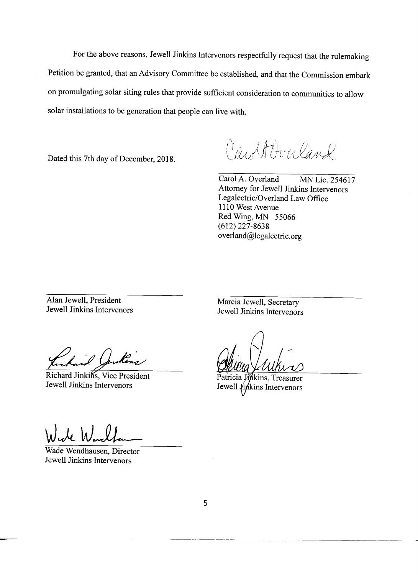For the above reasons, Jewell Jinkins Intervenors respectfully request that the rulemaking Petition be granted, that an Advisory Committee be established, and that the Commission embark on promulgating solar siting rules that provide sufficient consideration to communities to allow solar installations to be generation that people can live with.

Dated this 7th day of December, 2018.

Carttbucland

Carol A. Overland MN Lic. 254617 Attorney for Jewell Jinkins Intervenors Legalectric/Overland Law Office 1110 West Avenue Red Wing, MN 55066  $(612)$  227-8638 overland@legalectric.org

Alan Jewell, President Jewell Jinkins Intervenors

Marcia Jewell, Secretary Jewell Jinkins Intervenors

Richard Jinkins, Vice President Jewell Jinkins Intervenors

**Jinkins**, Treasurer Jewell finkins Intervenors

de W.

Wade Wendhausen, Director Jewell Jinkins Intervenors